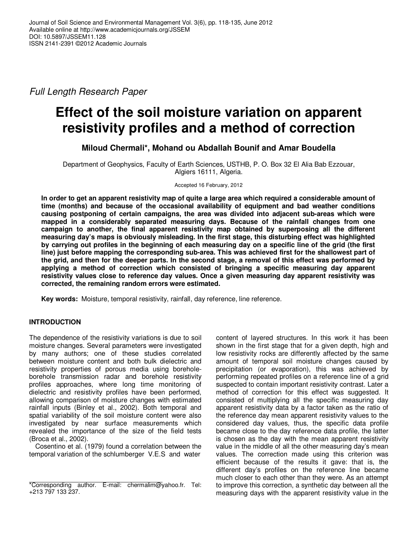Full Length Research Paper

# **Effect of the soil moisture variation on apparent resistivity profiles and a method of correction**

## **Miloud Chermali\*, Mohand ou Abdallah Bounif and Amar Boudella**

Department of Geophysics, Faculty of Earth Sciences, USTHB, P. O. Box 32 El Alia Bab Ezzouar, Algiers 16111, Algeria.

Accepted 16 February, 2012

**In order to get an apparent resistivity map of quite a large area which required a considerable amount of time (months) and because of the occasional availability of equipment and bad weather conditions causing postponing of certain campaigns, the area was divided into adjacent sub-areas which were mapped in a considerably separated measuring days. Because of the rainfall changes from one campaign to another, the final apparent resistivity map obtained by superposing all the different measuring day's maps is obviously misleading. In the first stage, this disturbing effect was highlighted by carrying out profiles in the beginning of each measuring day on a specific line of the grid (the first line) just before mapping the corresponding sub-area. This was achieved first for the shallowest part of the grid, and then for the deeper parts. In the second stage, a removal of this effect was performed by applying a method of correction which consisted of bringing a specific measuring day apparent resistivity values close to reference day values. Once a given measuring day apparent resistivity was corrected, the remaining random errors were estimated.** 

**Key words:** Moisture, temporal resistivity, rainfall, day reference, line reference.

## **INTRODUCTION**

The dependence of the resistivity variations is due to soil moisture changes. Several parameters were investigated by many authors; one of these studies correlated between moisture content and both bulk dielectric and resistivity properties of porous media using boreholeborehole transmission radar and borehole resistivity profiles approaches, where long time monitoring of dielectric and resistivity profiles have been performed, allowing comparison of moisture changes with estimated rainfall inputs (Binley et al., 2002). Both temporal and spatial variability of the soil moisture content were also investigated by near surface measurements which revealed the importance of the size of the field tests (Broca et al., 2002).

Cosentino et al. (1979) found a correlation between the temporal variation of the schlumberger V.E.S and water

content of layered structures. In this work it has been shown in the first stage that for a given depth, high and low resistivity rocks are differently affected by the same amount of temporal soil moisture changes caused by precipitation (or evaporation), this was achieved by performing repeated profiles on a reference line of a grid suspected to contain important resistivity contrast. Later a method of correction for this effect was suggested. It consisted of multiplying all the specific measuring day apparent resistivity data by a factor taken as the ratio of the reference day mean apparent resistivity values to the considered day values, thus, the specific data profile became close to the day reference data profile, the latter is chosen as the day with the mean apparent resistivity value in the middle of all the other measuring day's mean values. The correction made using this criterion was efficient because of the results it gave: that is, the different day's profiles on the reference line became much closer to each other than they were. As an attempt to improve this correction, a synthetic day between all the measuring days with the apparent resistivity value in the

<sup>\*</sup>Corresponding author. E-mail: chermalim@yahoo.fr. Tel: +213 797 133 237.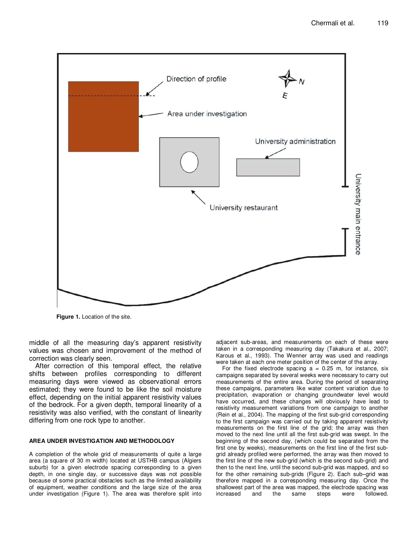

**Figure 1.** Location of the site.

middle of all the measuring day's apparent resistivity values was chosen and improvement of the method of correction was clearly seen.

After correction of this temporal effect, the relative shifts between profiles corresponding to different measuring days were viewed as observational errors estimated; they were found to be like the soil moisture effect, depending on the initial apparent resistivity values of the bedrock. For a given depth, temporal linearity of a resistivity was also verified, with the constant of linearity differing from one rock type to another.

#### **AREA UNDER INVESTIGATION AND METHODOLOGY**

A completion of the whole grid of measurements of quite a large area (a square of 30 m width) located at USTHB campus (Algiers suburb) for a given electrode spacing corresponding to a given depth, in one single day, or successive days was not possible because of some practical obstacles such as the limited availability of equipment, weather conditions and the large size of the area under investigation (Figure 1). The area was therefore split into adjacent sub-areas, and measurements on each of these were taken in a corresponding measuring day (Takakura et al., 2007; Karous et al., 1993). The Wenner array was used and readings were taken at each one meter position of the center of the array.

For the fixed electrode spacing  $a = 0.25$  m, for instance, six campaigns separated by several weeks were necessary to carry out measurements of the entire area. During the period of separating these campaigns, parameters like water content variation due to precipitation, evaporation or changing groundwater level would have occurred, and these changes will obviously have lead to resistivity measurement variations from one campaign to another (Rein et al., 2004). The mapping of the first sub-grid corresponding to the first campaign was carried out by taking apparent resistivity measurements on the first line of the grid; the array was then moved to the next line until all the first sub-grid was swept. In the beginning of the second day, (which could be separated from the first one by weeks), measurements on the first line of the first subgrid already profiled were performed, the array was then moved to the first line of the new sub-grid (which is the second sub-grid) and then to the next line, until the second sub-grid was mapped, and so for the other remaining sub-grids (Figure 2). Each sub–grid was therefore mapped in a corresponding measuring day. Once the shallowest part of the area was mapped, the electrode spacing was increased and the same steps were followed.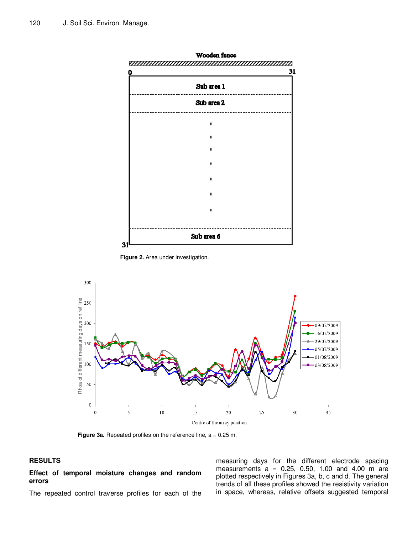

Wooden fence

**Figure 2.** Area under investigation.



Figure 3a. Repeated profiles on the reference line, a = 0.25 m.

## **RESULTS**

**Effect of temporal moisture changes and random errors** 

The repeated control traverse profiles for each of the

measuring days for the different electrode spacing measurements  $a = 0.25, 0.50, 1.00, and 4.00, m$  are plotted respectively in Figures 3a, b, c and d. The general trends of all these profiles showed the resistivity variation in space, whereas, relative offsets suggested temporal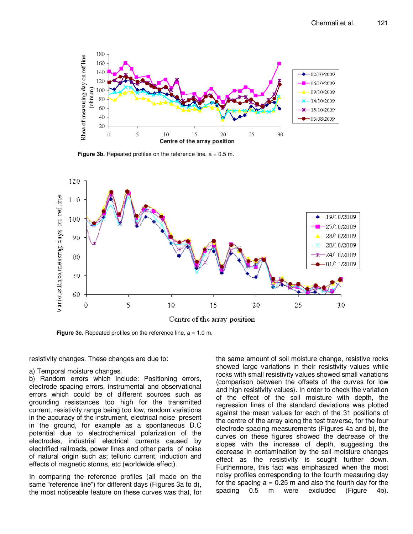

**Figure 3b.** Repeated profiles on the reference line, a = 0.5 m.



**Figure 3c.** Repeated profiles on the reference line,  $a = 1.0$  m.

resistivity changes. These changes are due to:

#### a) Temporal moisture changes.

b) Random errors which include: Positioning errors, electrode spacing errors, instrumental and observational errors which could be of different sources such as grounding resistances too high for the transmitted current, resistivity range being too low, random variations in the accuracy of the instrument, electrical noise present in the ground, for example as a spontaneous D.C potential due to electrochemical polarization of the electrodes, industrial electrical currents caused by electrified railroads, power lines and other parts of noise of natural origin such as; telluric current, induction and effects of magnetic storms, etc (worldwide effect).

In comparing the reference profiles (all made on the same "reference line") for different days (Figures 3a to d), the most noticeable feature on these curves was that, for

the same amount of soil moisture change, resistive rocks showed large variations in their resistivity values while rocks with small resistivity values showed small variations (comparison between the offsets of the curves for low and high resistivity values). In order to check the variation of the effect of the soil moisture with depth, the regression lines of the standard deviations was plotted against the mean values for each of the 31 positions of the centre of the array along the test traverse, for the four electrode spacing measurements (Figures 4a and b), the curves on these figures showed the decrease of the slopes with the increase of depth, suggesting the decrease in contamination by the soil moisture changes effect as the resistivity is sought further down. Furthermore, this fact was emphasized when the most noisy profiles corresponding to the fourth measuring day for the spacing  $a = 0.25$  m and also the fourth day for the spacing 0.5 m were excluded (Figure 4b).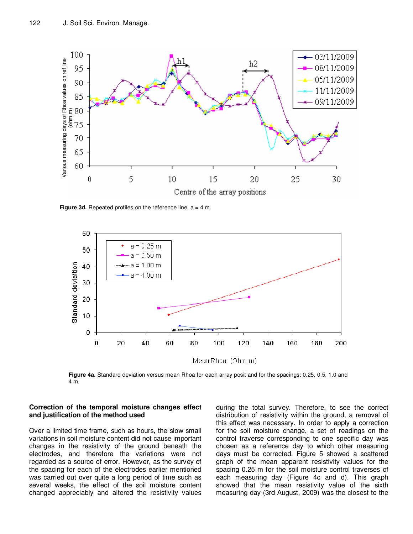

**Figure 3d.** Repeated profiles on the reference line,  $a = 4$  m.



**Figure 4a.** Standard deviation versus mean Rhoa for each array posit and for the spacings: 0.25, 0.5, 1.0 and 4 m.

#### **Correction of the temporal moisture changes effect and justification of the method used**

Over a limited time frame, such as hours, the slow small variations in soil moisture content did not cause important changes in the resistivity of the ground beneath the electrodes, and therefore the variations were not regarded as a source of error. However, as the survey of the spacing for each of the electrodes earlier mentioned was carried out over quite a long period of time such as several weeks, the effect of the soil moisture content changed appreciably and altered the resistivity values during the total survey. Therefore, to see the correct distribution of resistivity within the ground, a removal of this effect was necessary. In order to apply a correction for the soil moisture change, a set of readings on the control traverse corresponding to one specific day was chosen as a reference day to which other measuring days must be corrected. Figure 5 showed a scattered graph of the mean apparent resistivity values for the spacing 0.25 m for the soil moisture control traverses of each measuring day (Figure 4c and d). This graph showed that the mean resistivity value of the sixth measuring day (3rd August, 2009) was the closest to the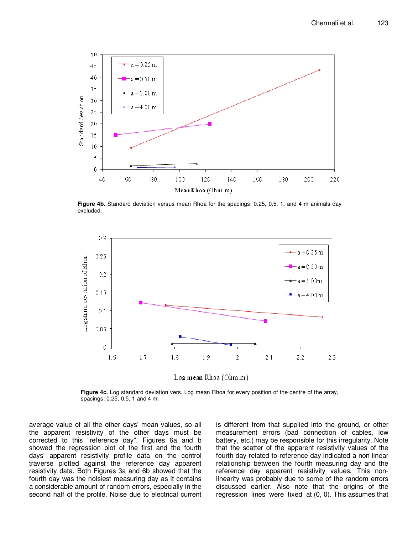

**Figure 4b.** Standard deviation versus mean Rhoa for the spacings: 0.25, 0.5, 1, and 4 m animals day excluded.



Log mean Rhoa (Ohm.m)

**Figure 4c.** Log standard deviation vers. Log mean Rhoa for every position of the centre of the array, spacings: 0.25, 0.5, 1 and 4 m.

average value of all the other days' mean values, so all the apparent resistivity of the other days must be corrected to this "reference day". Figures 6a and b showed the regression plot of the first and the fourth days' apparent resistivity profile data on the control traverse plotted against the reference day apparent resistivity data. Both Figures 3a and 6b showed that the fourth day was the noisiest measuring day as it contains a considerable amount of random errors, especially in the second half of the profile. Noise due to electrical current

is different from that supplied into the ground, or other measurement errors (bad connection of cables, low battery, etc.) may be responsible for this irregularity. Note that the scatter of the apparent resistivity values of the fourth day related to reference day indicated a non-linear relationship between the fourth measuring day and the reference day apparent resistivity values. This nonlinearity was probably due to some of the random errors discussed earlier. Also note that the origins of the regression lines were fixed at (0, 0). This assumes that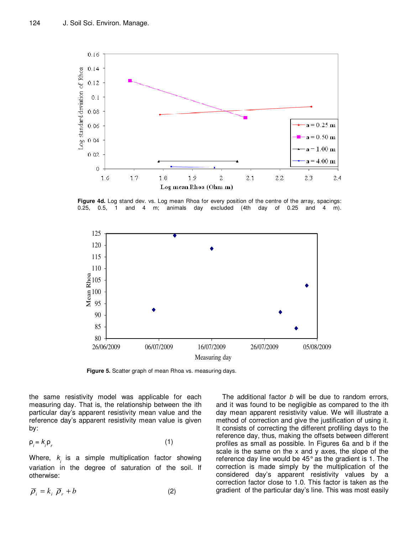

**Figure 4d.** Log stand dev. vs. Log mean Rhoa for every position of the centre of the array, spacings: 0.25, 0.5, 1 and 4 m; animals day excluded (4th day of 0.25 and 4 m).



**Figure 5.** Scatter graph of mean Rhoa vs. measuring days.

the same resistivity model was applicable for each measuring day. That is, the relationship between the ith particular day's apparent resistivity mean value and the reference day's apparent resistivity mean value is given by:

$$
\rho_j = k_j \rho_r \tag{1}
$$

Where,  $k_{\scriptscriptstyle\!/\!}$  is a simple multiplication factor showing variation in the degree of saturation of the soil. If otherwise:

$$
\overline{\rho}_i = k_i \, \overline{\rho}_r + b \tag{2}
$$

The additional factor b will be due to random errors, and it was found to be negligible as compared to the ith day mean apparent resistivity value. We will illustrate a method of correction and give the justification of using it. It consists of correcting the different profiling days to the reference day, thus, making the offsets between different profiles as small as possible. In Figures 6a and b if the scale is the same on the x and y axes, the slope of the reference day line would be 45° as the gradient is 1. The correction is made simply by the multiplication of the considered day's apparent resistivity values by a correction factor close to 1.0. This factor is taken as the gradient of the particular day's line. This was most easily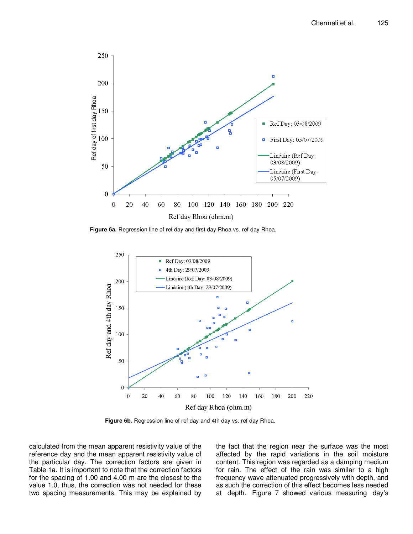

Figure 6a. Regression line of ref day and first day Rhoa vs. ref day Rhoa.



**Figure 6b.** Regression line of ref day and 4th day vs. ref day Rhoa.

calculated from the mean apparent resistivity value of the reference day and the mean apparent resistivity value of the particular day. The correction factors are given in Table 1a. It is important to note that the correction factors for the spacing of 1.00 and 4.00 m are the closest to the value 1.0, thus, the correction was not needed for these two spacing measurements. This may be explained by the fact that the region near the surface was the most affected by the rapid variations in the soil moisture content. This region was regarded as a damping medium for rain. The effect of the rain was similar to a high frequency wave attenuated progressively with depth, and as such the correction of this effect becomes less needed at depth. Figure 7 showed various measuring day's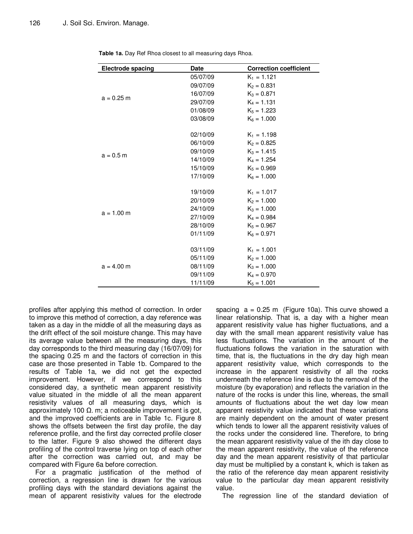| <b>Electrode spacing</b> | <b>Date</b> | <b>Correction coefficient</b> |
|--------------------------|-------------|-------------------------------|
|                          | 05/07/09    | $K_1 = 1.121$                 |
|                          | 09/07/09    | $K_2 = 0.831$                 |
| $a = 0.25$ m             | 16/07/09    | $K_3 = 0.871$                 |
|                          | 29/07/09    | $K_4 = 1.131$                 |
|                          | 01/08/09    | $K_5 = 1.223$                 |
|                          | 03/08/09    | $K_6 = 1.000$                 |
|                          | 02/10/09    | $K_1 = 1.198$                 |
|                          | 06/10/09    | $K_2 = 0.825$                 |
| $a = 0.5 m$              | 09/10/09    | $K_3 = 1.415$                 |
|                          | 14/10/09    | $K_4 = 1.254$                 |
|                          | 15/10/09    | $K_5 = 0.969$                 |
|                          | 17/10/09    | $K_6 = 1.000$                 |
|                          | 19/10/09    | $K_1 = 1.017$                 |
|                          | 20/10/09    | $K_2 = 1.000$                 |
| $a = 1.00$ m             | 24/10/09    | $K_3 = 1.000$                 |
|                          | 27/10/09    | $K_4 = 0.984$                 |
|                          | 28/10/09    | $K_5 = 0.967$                 |
|                          | 01/11/09    | $K_6 = 0.971$                 |
|                          | 03/11/09    | $K_1 = 1.001$                 |
|                          | 05/11/09    | $K_2 = 1.000$                 |
| $a = 4.00$ m             | 08/11/09    | $K_3 = 1.000$                 |
|                          | 09/11/09    | $K_4 = 0.970$                 |
|                          | 11/11/09    | $K_5 = 1.001$                 |

**Table 1a.** Day Ref Rhoa closest to all measuring days Rhoa.

profiles after applying this method of correction. In order to improve this method of correction, a day reference was taken as a day in the middle of all the measuring days as the drift effect of the soil moisture change. This may have its average value between all the measuring days, this day corresponds to the third measuring day (16/07/09) for the spacing 0.25 m and the factors of correction in this case are those presented in Table 1b. Compared to the results of Table 1a, we did not get the expected improvement. However, if we correspond to this considered day, a synthetic mean apparent resistivity value situated in the middle of all the mean apparent resistivity values of all measuring days, which is approximately 100 Ω. m; a noticeable improvement is got, and the improved coefficients are in Table 1c. Figure 8 shows the offsets between the first day profile, the day reference profile, and the first day corrected profile closer to the latter. Figure 9 also showed the different days profiling of the control traverse lying on top of each other after the correction was carried out, and may be compared with Figure 6a before correction.

For a pragmatic justification of the method of correction, a regression line is drawn for the various profiling days with the standard deviations against the mean of apparent resistivity values for the electrode

spacing  $a = 0.25$  m (Figure 10a). This curve showed a linear relationship. That is, a day with a higher mean apparent resistivity value has higher fluctuations, and a day with the small mean apparent resistivity value has less fluctuations. The variation in the amount of the fluctuations follows the variation in the saturation with time, that is, the fluctuations in the dry day high mean apparent resistivity value, which corresponds to the increase in the apparent resistivity of all the rocks underneath the reference line is due to the removal of the moisture (by evaporation) and reflects the variation in the nature of the rocks is under this line, whereas, the small amounts of fluctuations about the wet day low mean apparent resistivity value indicated that these variations are mainly dependent on the amount of water present which tends to lower all the apparent resistivity values of the rocks under the considered line. Therefore, to bring the mean apparent resistivity value of the ith day close to the mean apparent resistivity, the value of the reference day and the mean apparent resistivity of that particular day must be multiplied by a constant k, which is taken as the ratio of the reference day mean apparent resistivity value to the particular day mean apparent resistivity value.

The regression line of the standard deviation of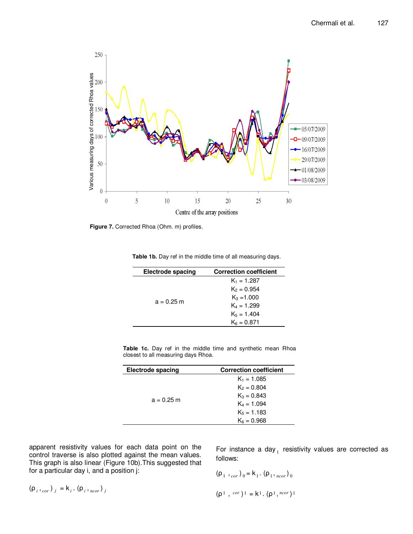

**Figure 7.** Corrected Rhoa (Ohm. m) profiles.

|  | Table 1b. Day ref in the middle time of all measuring days. |
|--|-------------------------------------------------------------|
|--|-------------------------------------------------------------|

| Electrode spacing | <b>Correction coefficient</b> |
|-------------------|-------------------------------|
|                   | $K_1 = 1.287$                 |
|                   | $K_2 = 0.954$                 |
| $a = 0.25$ m      | $K_3 = 1.000$                 |
|                   | $K_4 = 1.299$                 |
|                   | $K_5 = 1.404$                 |
|                   | $K_6 = 0.871$                 |
|                   |                               |

|  |  |  |                                     |  | Table 1c. Day ref in the middle time and synthetic mean Rhoa |  |
|--|--|--|-------------------------------------|--|--------------------------------------------------------------|--|
|  |  |  | closest to all measuring days Rhoa. |  |                                                              |  |

| <b>Electrode spacing</b> | <b>Correction coefficient</b> |
|--------------------------|-------------------------------|
|                          | $K_1 = 1.085$                 |
|                          | $K_2 = 0.804$                 |
|                          | $K_3 = 0.843$                 |
| $a = 0.25$ m             | $K_4 = 1.094$                 |
|                          | $K_5 = 1.183$                 |
|                          | $K_6 = 0.968$                 |

apparent resistivity values for each data point on the control traverse is also plotted against the mean values. This graph is also linear (Figure 10b).This suggested that for a particular day i, and a position j:

For instance a day  $_1$  resistivity values are corrected as follows:

$$
(\rho_1, \, \rho_{cor})_0 = k_1 \cdot (\rho_1, \, \rho_{cor})_0
$$

$$
(\rho^1 \ ,\ ^{cor})^1 = k^1 \cdot (\rho^1 \ ,\ ^{ncor})^1
$$

$$
(\rho_i, \rho_{cor})_j = k_i \cdot (\rho_i, \rho_{cor})_j
$$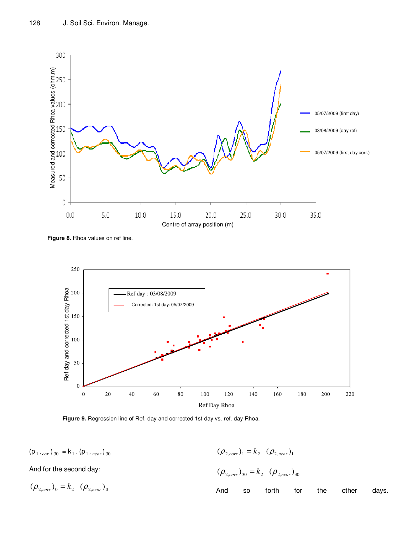

**Figure 8.** Rhoa values on ref line.



**Figure 9.** Regression line of Ref. day and corrected 1st day vs. ref. day Rhoa.

| $(\rho_1,_{cor})_{30} = k_1 \cdot (\rho_1,_{ncor})_{30}$ |     |           | $(\rho_{2,corr})_1 = k_2$ $(\rho_{2,ncor})_1$       |     |     |       |       |
|----------------------------------------------------------|-----|-----------|-----------------------------------------------------|-----|-----|-------|-------|
| And for the second day:                                  |     |           | $(\rho_{2,corr})_{30} = k_2$ $(\rho_{2,ncor})_{30}$ |     |     |       |       |
| $(\rho_{2,corr})_0 = k_2$ $(\rho_{2,ncor})_0$            | And | <b>SO</b> | forth                                               | tor | the | other | davs. |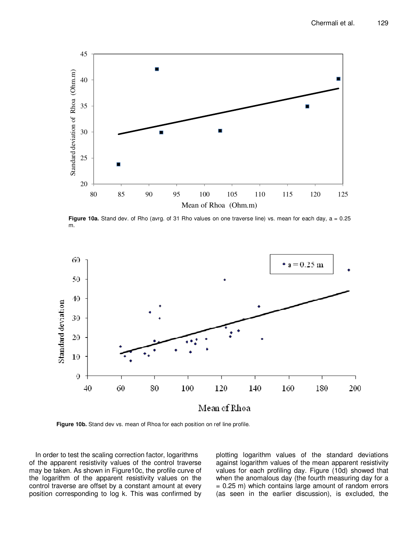

**Figure 10a.** Stand dev. of Rho (avrg. of 31 Rho values on one traverse line) vs. mean for each day, a = 0.25 m.



**Figure 10b.** Stand dev vs. mean of Rhoa for each position on ref line profile.

In order to test the scaling correction factor, logarithms of the apparent resistivity values of the control traverse may be taken. As shown in Figure10c, the profile curve of the logarithm of the apparent resistivity values on the control traverse are offset by a constant amount at every position corresponding to log k. This was confirmed by plotting logarithm values of the standard deviations against logarithm values of the mean apparent resistivity values for each profiling day. Figure (10d) showed that when the anomalous day (the fourth measuring day for a  $= 0.25$  m) which contains large amount of random errors (as seen in the earlier discussion), is excluded, the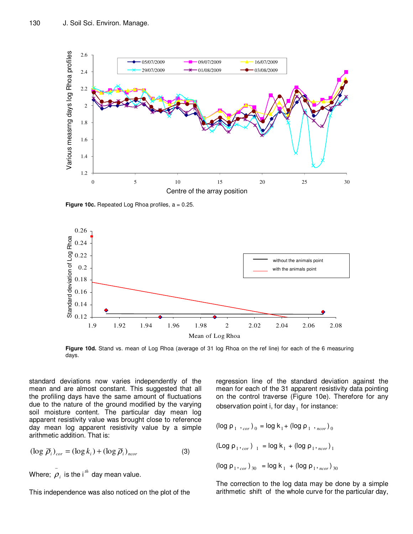

**Figure 10c.** Repeated Log Rhoa profiles,  $a = 0.25$ .



**Figure 10d.** Stand vs. mean of Log Rhoa (average of 31 log Rhoa on the ref line) for each of the 6 measuring days.

standard deviations now varies independently of the mean and are almost constant. This suggested that all the profiling days have the same amount of fluctuations due to the nature of the ground modified by the varying soil moisture content. The particular day mean log apparent resistivity value was brought close to reference day mean log apparent resistivity value by a simple arithmetic addition. That is:

$$
(\log \overline{\rho}_i)_{cor} = (\log k_i) + (\log \overline{\rho}_i)_{ncor}
$$
 (3)

Where;  $\overset{-}{\rho}_{i}$  is the i<sup>th</sup> day mean value.

This independence was also noticed on the plot of the

regression line of the standard deviation against the mean for each of the 31 apparent resistivity data pointing on the control traverse (Figure 10e). Therefore for any observation point i, for day  $_1$  for instance:

$$
(\log \rho_1, \, \, \cdot_{\text{cor}})_0 = \log k_1 + (\log \rho_1, \, \, \cdot_{\text{ncor}})_0
$$

$$
(\text{Log } \rho_1,_{cor})_{1} = \text{log } k_1 + (\text{log } \rho_1,_{ncor})_{1}
$$

 $(\log \rho_1,_{cor})_{30} = \log k_1 + (\log \rho_1,_{ncor})_{30}$ 

The correction to the log data may be done by a simple arithmetic shift of the whole curve for the particular day,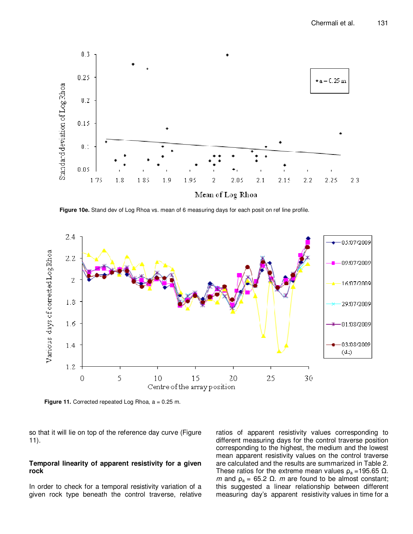

**Figure 10e.** Stand dev of Log Rhoa vs. mean of 6 measuring days for each posit on ref line profile.



Figure 11. Corrected repeated Log Rhoa, a = 0.25 m.

so that it will lie on top of the reference day curve (Figure 11).

#### **Temporal linearity of apparent resistivity for a given rock**

In order to check for a temporal resistivity variation of a given rock type beneath the control traverse, relative ratios of apparent resistivity values corresponding to different measuring days for the control traverse position corresponding to the highest, the medium and the lowest mean apparent resistivity values on the control traverse are calculated and the results are summarized in Table 2. These ratios for the extreme mean values  $\rho_a = 195.65 \Omega$ . m and  $ρ<sub>a</sub> = 65.2 Ω$ . m are found to be almost constant; this suggested a linear relationship between different measuring day's apparent resistivity values in time for a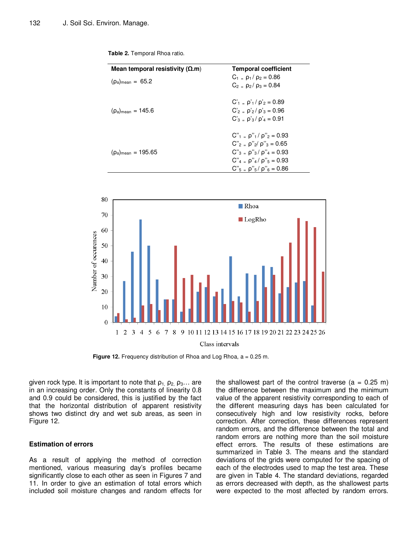| Mean temporal resistivity ( $\Omega$ .m) | <b>Temporal coefficient</b>                                                                                                                                                                                |
|------------------------------------------|------------------------------------------------------------------------------------------------------------------------------------------------------------------------------------------------------------|
| $(\rho_a)_{\text{mean}} = 65.2$          | $C_1 = p_1 / p_2 = 0.86$<br>$C_2 = \rho_2 / \rho_3 = 0.84$                                                                                                                                                 |
| $(\rho_a)_{\text{mean}} = 145.6$         | $C'_{1} = \rho'_{1}/\rho'_{2} = 0.89$<br>$C'_2 = \rho'_2 / \rho'_3 = 0.96$<br>$C'_{3}$ = $\rho'_{3}/\rho'_{4}$ = 0.91                                                                                      |
| $(\rho_a)_{\text{mean}} = 195.65$        | $C''_1 = \rho''_1 / \rho''_2 = 0.93$<br>$C''_2 = \rho''_2 / \rho''_3 = 0.65$<br>$C''_3 = \rho''_3 / \rho''_4 = 0.93$<br>$C''_4 = \rho''_4 / \rho''_5 = 0.93$<br>$C''_{5}$ = $\rho''_{5}/\rho''_{6}$ = 0.86 |

**Table 2.** Temporal Rhoa ratio.



**Figure 12.** Frequency distribution of Rhoa and Log Rhoa, a = 0.25 m.

given rock type. It is important to note that  $\rho_1$ ,  $\rho_2$ ,  $\rho_3$ ... are in an increasing order. Only the constants of linearity 0.8 and 0.9 could be considered, this is justified by the fact that the horizontal distribution of apparent resistivity shows two distinct dry and wet sub areas, as seen in Figure 12.

## **Estimation of errors**

As a result of applying the method of correction mentioned, various measuring day's profiles became significantly close to each other as seen in Figures 7 and 11. In order to give an estimation of total errors which included soil moisture changes and random effects for

the shallowest part of the control traverse  $(a = 0.25 m)$ the difference between the maximum and the minimum value of the apparent resistivity corresponding to each of the different measuring days has been calculated for consecutively high and low resistivity rocks, before correction. After correction, these differences represent random errors, and the difference between the total and random errors are nothing more than the soil moisture effect errors. The results of these estimations are summarized in Table 3. The means and the standard deviations of the grids were computed for the spacing of each of the electrodes used to map the test area. These are given in Table 4. The standard deviations, regarded as errors decreased with depth, as the shallowest parts were expected to the most affected by random errors.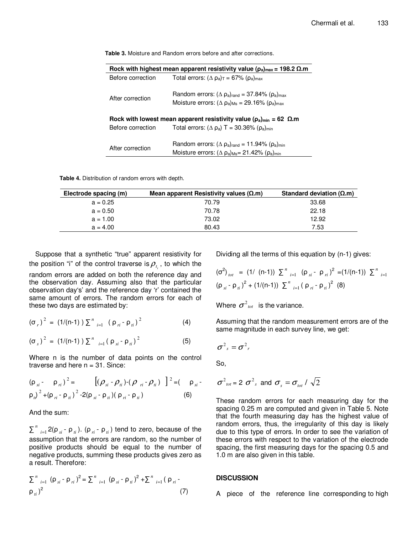| Rock with highest mean apparent resistivity value ( $\rho_a$ ) <sub>max</sub> = 198.2 $\Omega$ .m   |                                                                                                                                                                              |  |  |  |  |
|-----------------------------------------------------------------------------------------------------|------------------------------------------------------------------------------------------------------------------------------------------------------------------------------|--|--|--|--|
| Before correction<br>Total errors: $(\Delta \rho_a)$ <sub>T</sub> = 67% ( $\rho_a$ ) <sub>max</sub> |                                                                                                                                                                              |  |  |  |  |
| After correction                                                                                    | Random errors: $(\Delta \rho_a)_{\text{rand}} = 37.84\%$ ( $\rho_a$ ) <sub>max</sub><br>Moisture errors: $(\Delta \rho_a)_{\text{Ms}} = 29.16\%$ ( $\rho_a$ ) <sub>max</sub> |  |  |  |  |
| Rock with lowest mean apparent resistivity value ( $\rho_a$ ) <sub>min</sub> = 62 $\Omega$ .m       |                                                                                                                                                                              |  |  |  |  |
| Before correction                                                                                   | Total errors: $(\Delta \rho_a)$ T = 30.36% $(\rho_a)_{min}$                                                                                                                  |  |  |  |  |
|                                                                                                     |                                                                                                                                                                              |  |  |  |  |
| After correction                                                                                    | Random errors: $(\Delta \rho_a)_{\text{rand}} = 11.94\%$ ( $\rho_a$ ) <sub>min</sub>                                                                                         |  |  |  |  |
|                                                                                                     | Moisture errors: $(\Delta \rho_a)_{\text{Ms}} = 21.42\%$ ( $\rho_a$ ) <sub>min</sub>                                                                                         |  |  |  |  |

**Table 3.** Moisture and Random errors before and after corrections.

**Table 4.** Distribution of random errors with depth.

| Electrode spacing (m) | Mean apparent Resistivity values $(\Omega \cdot m)$ | Standard deviation ( $\Omega$ .m) |
|-----------------------|-----------------------------------------------------|-----------------------------------|
| $a = 0.25$            | 70.79                                               | 33.68                             |
| $a = 0.50$            | 70.78                                               | 22.18                             |
| $a = 1.00$            | 73.02                                               | 12.92                             |
| $a = 4.00$            | 80.43                                               | 7.53                              |

Suppose that a synthetic "true" apparent resistivity for the position "i" of the control traverse is  $\rho_{_{t_i}}$ , to which the random errors are added on both the reference day and the observation day. Assuming also that the particular observation day's' and the reference day 'r' contained the same amount of errors. The random errors for each of these two days are estimated by:

$$
(\sigma_r)^2 = (1/(n-1)) \sum_{i=1}^n (\rho_{ri} - \rho_{ii})^2
$$
 (4)

$$
(\sigma_{s})^{2} = (1/(n-1)) \sum_{i=1}^{n} (\rho_{si} - \rho_{ii})^{2}
$$
 (5)

Where n is the number of data points on the control traverse and here  $n = 31$ . Since:

$$
(\rho_{si} - \rho_{ri})^2 = [(\rho_{si} - \rho_{ii}) - (\rho_{ri} - \rho_{ii})]^2 = (\rho_{si} - \rho_{ii})^2 + (\rho_{ri} - \rho_{ii})^2 - 2(\rho_{si} - \rho_{ii})(\rho_{ri} - \rho_{ii})
$$
 (6)

And the sum:

∑ *n*  $\mu_{i=1}$  2(ρ<sub>si</sub> - ρ<sub>ti</sub>). (ρ<sub>ri</sub> - ρ<sub>ti</sub>) tend to zero, because of the assumption that the errors are random, so the number of positive products should be equal to the number of negative products, summing these products gives zero as a result. Therefore:

$$
\sum_{i=1}^{n} (\rho_{si} - \rho_{ri})^{2} = \sum_{i=1}^{n} (\rho_{si} - \rho_{ti})^{2} + \sum_{i=1}^{n} (\rho_{ri} - \rho_{ti})^{2}
$$
\n(7)

Dividing all the terms of this equation by (n-1) gives:

$$
(\sigma^2)_{tot} = (1/ (n-1)) \sum_{i=1}^{n} (\rho_{si} - \rho_{ri})^2 = (1/(n-1)) \sum_{i=1}^{n} (\rho_{si} - \rho_{ii})^2
$$
  

$$
(\rho_{si} - \rho_{ii})^2 + (1/(n-1)) \sum_{i=1}^{n} (\rho_{ri} - \rho_{ii})^2
$$
 (8)

Where  $\sigma^2{}_{\scriptscriptstyle tot}$  is the variance.

Assuming that the random measurement errors are of the same magnitude in each survey line, we get:

$$
\sigma^2_s = \sigma^2_r
$$

So,

$$
\sigma^2_{tot} = 2 \sigma^2_{s}
$$
 and  $\sigma_s = \sigma_{tot}/\sqrt{2}$ 

These random errors for each measuring day for the spacing 0.25 m are computed and given in Table 5. Note that the fourth measuring day has the highest value of random errors, thus, the irregularity of this day is likely due to this type of errors. In order to see the variation of these errors with respect to the variation of the electrode spacing, the first measuring days for the spacing 0.5 and 1.0 m are also given in this table.

#### **DISCUSSION**

A piece of the reference line corresponding to high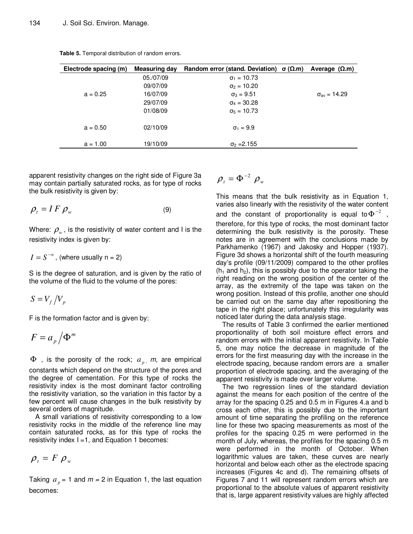| Electrode spacing (m) | Measuring day | Random error (stand. Deviation) $\sigma(\Omega,m)$ | Average $(Ω.m)$       |
|-----------------------|---------------|----------------------------------------------------|-----------------------|
|                       | 05./07/09     | $\sigma_1 = 10.73$                                 |                       |
|                       | 09/07/09      | $\sigma_2 = 10.20$                                 |                       |
| $a = 0.25$            | 16/07/09      | $\sigma_3 = 9.51$                                  | $\sigma_{av} = 14.29$ |
|                       | 29/07/09      | $\sigma_4 = 30.28$                                 |                       |
|                       | 01/08/09      | $\sigma_5 = 10.73$                                 |                       |
| $a = 0.50$            | 02/10/09      | $\sigma_1 = 9.9$                                   |                       |
| $a = 1.00$            | 19/10/09      | $\sigma_2 = 2.155$                                 |                       |

**Table 5.** Temporal distribution of random errors.

apparent resistivity changes on the right side of Figure 3a may contain partially saturated rocks, as for type of rocks the bulk resistivity is given by:

$$
\rho_t = I \, F \, \rho_w \tag{9}
$$

Where:  $\rho_{_{{w}}}$ , is the resistivity of water content and I is the resistivity index is given by:

$$
I = S^{-n}
$$
, (where usually n = 2)

S is the degree of saturation, and is given by the ratio of the volume of the fluid to the volume of the pores:

$$
S = V_f / V_p
$$

F is the formation factor and is given by:

$$
F=a_p/\Phi^m
$$

 $\Phi$ , is the porosity of the rock;  $a_p$ , m, are empirical

constants which depend on the structure of the pores and the degree of cementation. For this type of rocks the resistivity index is the most dominant factor controlling the resistivity variation, so the variation in this factor by a few percent will cause changes in the bulk resistivity by several orders of magnitude.

A small variations of resistivity corresponding to a low resistivity rocks in the middle of the reference line may contain saturated rocks, as for this type of rocks the resistivity index  $I = 1$ , and Equation 1 becomes:

$$
\rho_t = F \rho_w
$$

Taking  $a_p = 1$  and  $m = 2$  in Equation 1, the last equation becomes:

 $\rho_{t} = \Phi^{-2} \rho_{w}$ 

This means that the bulk resistivity as in Equation 1, varies also linearly with the resistivity of the water content and the constant of proportionality is equal to  $\Phi^{-2}$ , therefore, for this type of rocks, the most dominant factor determining the bulk resistivity is the porosity. These notes are in agreement with the conclusions made by Parkhamenko (1967) and Jakosky and Hopper (1937). Figure 3d shows a horizontal shift of the fourth measuring day's profile (09/11/2009) compared to the other profiles  $(h_1$  and  $h_2)$ , this is possibly due to the operator taking the right reading on the wrong position of the center of the array, as the extremity of the tape was taken on the wrong position. Instead of this profile, another one should be carried out on the same day after repositioning the tape in the right place; unfortunately this irregularity was noticed later during the data analysis stage.

The results of Table 3 confirmed the earlier mentioned proportionality of both soil moisture effect errors and random errors with the initial apparent resistivity. In Table 5, one may notice the decrease in magnitude of the errors for the first measuring day with the increase in the electrode spacing, because random errors are a smaller proportion of electrode spacing, and the averaging of the apparent resistivity is made over larger volume.

The two regression lines of the standard deviation against the means for each position of the centre of the array for the spacing 0.25 and 0.5 m in Figures 4.a and b cross each other, this is possibly due to the important amount of time separating the profiling on the reference line for these two spacing measurements as most of the profiles for the spacing 0.25 m were performed in the month of July, whereas, the profiles for the spacing 0.5 m were performed in the month of October. When logarithmic values are taken, these curves are nearly horizontal and below each other as the electrode spacing increases (Figures 4c and d). The remaining offsets of Figures 7 and 11 will represent random errors which are proportional to the absolute values of apparent resistivity that is, large apparent resistivity values are highly affected